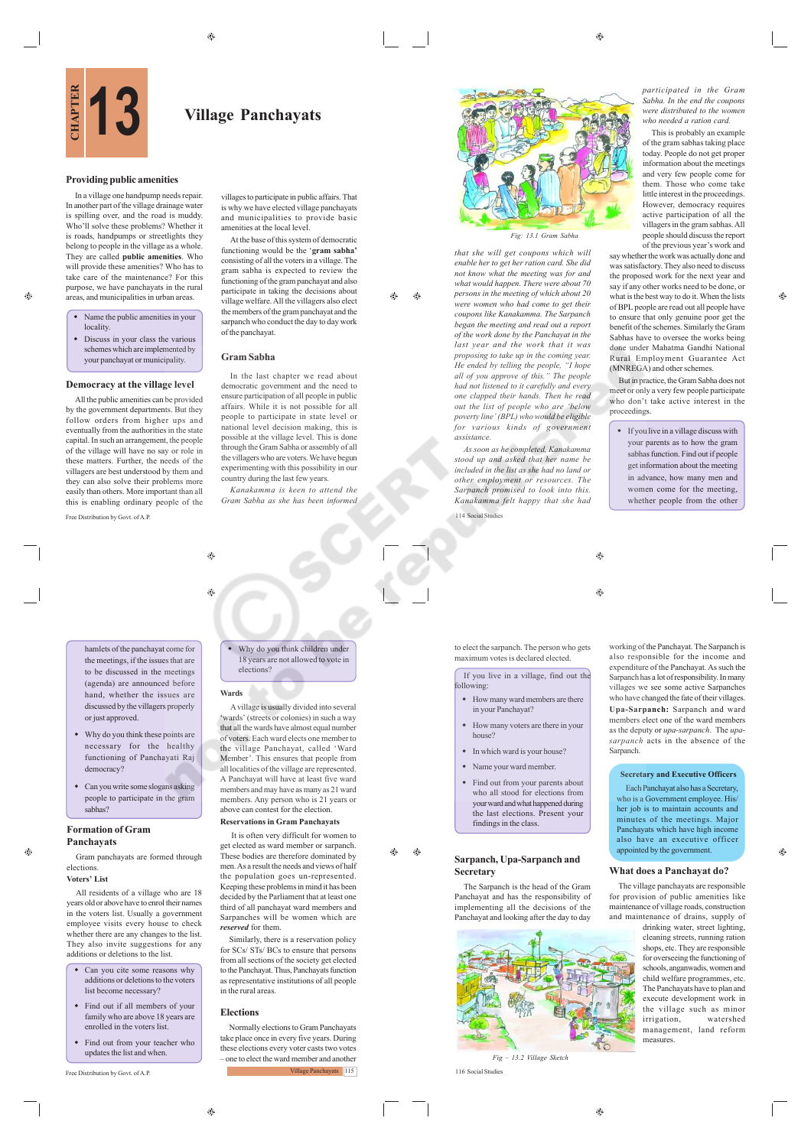

### **Providing public amenities**

In a village one handpump needs repair. In another part of the village drainage water is spilling over, and the road is muddy. Who'll solve these problems? Whether it is roads, handpumps or streetlights they belong to people in the village as a whole. They are called **public amenities**. Who will provide these amenities? Who has to take care of the maintenance? For this purpose, we have panchayats in the rural areas, and municipalities in urban areas.

- Name the public amenities in your locality.
- Discuss in your class the various schemes which are implemented by your panchayat or municipality.

### **Democracy at the village level**

Free Distribution by Govt. of A.P. All the public amenities can be provided by the government departments. But they follow orders from higher ups and eventually from the authorities in the state capital. In such an arrangement, the people of the village will have no say or role in these matters. Further, the needs of the villagers are best understood by them and they can also solve their problems more easily than others. More important than all this is enabling ordinary people of the

is why we have elected village panchayats and municipalities to provide basic amenities at the local level. At the base of this system of democratic

villages to participate in public affairs. That

functioning would be the '**gram sabha'** consisting of all the voters in a village. The gram sabha is expected to review the functioning of the gram panchayat and also participate in taking the decisions about village welfare. All the villagers also elect the members of the gram panchayat and the sarpanch who conduct the day to day work of the panchayat.

ΔD  $\triangle$ 

### **Gram Sabha**

In the last chapter we read about democratic government and the need to ensure participation of all people in public affairs. While it is not possible for all people to participate in state level or national level decision making, this is possible at the village level. This is done through the Gram Sabha or assembly of all the villagers who are voters. We have begun experimenting with this possibility in our country during the last few years.

*Kanakamma is keen to attend the Gram Sabha as she has been informed*



*that she will get coupons which will enable her to get her ration card. She did not know what the meeting was for and what would happen. There were about 70 persons in the meeting of which about 20 were women who had come to get their coupons like Kanakamma. The Sarpanch began the meeting and read out a report of the work done by the Panchayat in the last year and the work that it was proposing to take up in the coming year. He ended by telling the people, "I hope all of you approve of this." The people had not listened to it carefully and every one clapped their hands. Then he read out the list of people who are 'below poverty line' (BPL) who would be eligible for various kinds of government assistance.*

*As soon as he completed, Kanakamma stood up and asked that her name be included in the list as she had no land or other employment or resources. The Sarpanch promised to look into this. Kanakamma felt happy that she had*

114 Social Studies

to elect the sarpanch. The person who gets maximum votes is declared elected.

If you live in a village, find out the following:

- How many ward members are there in your Panchayat?
- How many voters are there in your house?
- In which ward is your house?
- Name your ward member.
- Find out from your parents about who all stood for elections from your ward and what happened during the last elections. Present your findings in the class.

### **Sarpanch, Upa-Sarpanch and Secretary**

The Sarpanch is the head of the Gram Panchayat and has the responsibility of implementing all the decisions of the Panchayat and looking after the day to day



*Fig – 13.2 Village Sketch* 116 Social Studies

*participated in the Gram Sabha. In the end the coupons were distributed to the women who needed a ration card.*

This is probably an example of the gram sabhas taking place today. People do not get proper information about the meetings and very few people come for them. Those who come take little interest in the proceedings. However, democracy requires active participation of all the villagers in the gram sabhas. All people should discuss the report of the previous year's work and

say whether the work was actually done and was satisfactory. They also need to discuss the proposed work for the next year and say if any other works need to be done, or what is the best way to do it. When the lists of BPL people are read out all people have to ensure that only genuine poor get the benefit of the schemes. Similarly the Gram Sabhas have to oversee the works being done under Mahatma Gandhi National Rural Employment Guarantee Act (MNREGA) and other schemes.

æ

But in practice, the Gram Sabha does not meet or only a very few people participate who don't take active interest in the proceedings.

 If you live in a village discuss with your parents as to how the gram sabhas function. Find out if people get information about the meeting in advance, how many men and omen come for the meeting, whether people from the other

 $\bigcirc$ 

**G** 

also responsible for the income and expenditure of the Panchayat. As such the Sarpanch has a lot of responsibility. In many villages we see some active Sarpanches who have changed the fate of their villages. **Upa-Sarpanch:** Sarpanch and ward members elect one of the ward members as the deputy or *upa-sarpanch*. The *upasarpanch* acts in the absence of the Sarpanch.

### **Secretary and Executive Officers**

Each Panchayat also has a Secretary, who is a Government employee. His/ her job is to maintain accounts and minutes of the meetings. Major Panchayats which have high income also have an executive officer appointed by the government.

### **What does a Panchayat do?**

♠

The village panchayats are responsible for provision of public amenities like maintenance of village roads, construction and maintenance of drains, supply of

drinking water, street lighting, cleaning streets, running ration shops, etc. They are responsible for overseeing the functioning of schools, anganwadis, women and child welfare programmes, etc. The Panchayats have to plan and execute development work in the village such as minor<br>irrigation watershed  $irrigation,$ management, land reform measures.

hamlets of the panchayat come for the meetings, if the issues that are to be discussed in the meetings (agenda) are announced before hand, whether the issues are discussed by the villagers properly or just approved.

- Why do you think these points are necessary for the healthy functioning of Panchayati Raj democracy?
- Can you write some slogans asking people to participate in the gram sabhas?

### **Formation of Gram Panchayats**

Gram panchayats are formed through elections **Voters' List**

 $\oplus$ 

All residents of a village who are 18 years old or above have to enrol their names in the voters list. Usually a government employee visits every house to check whether there are any changes to the list. They also invite suggestions for any additions or deletions to the list.

- Can you cite some reasons why additions or deletions to the voters list become necessary?
- Find out if all members of your family who are above 18 years are enrolled in the voters list.
- Find out from your teacher who updates the list and when.

Free Distribution by Govt. of A.P.

# Why do you think children under 18 years are not allowed to vote in elections?

#### **Wards**

۵

۵

 A village is usually divided into several wards' (streets or colonies) in such a way that all the wards have almost equal number of voters. Each ward elects one member to the village Panchayat, called 'Ward Member'. This ensures that people from all localities of the village are represented. A Panchayat will have at least five ward members and may have as many as 21 ward members. Any person who is 21 years or above can contest for the election.

#### **Reservations in Gram Panchayats**

 It is often very difficult for women to get elected as ward member or sarpanch. These bodies are therefore dominated by men. As a result the needs and views of half the population goes un-represented. Keeping these problems in mind it has been decided by the Parliament that at least one third of all panchayat ward members and Sarpanches will be women which are *reserved* for them.

Similarly, there is a reservation policy for SCs/ STs/ BCs to ensure that persons from all sections of the society get elected to the Panchayat. Thus, Panchayats function as representative institutions of all people in the rural areas.

## **Elections**

 $^{\circ}$ 

Normally elections to Gram Panchayats take place once in every five years. During these elections every voter casts two votes – one to elect the ward member and another Village Panchayats 115

Æ۵ ⊕

working of the Panchayat. The Sarpanch is